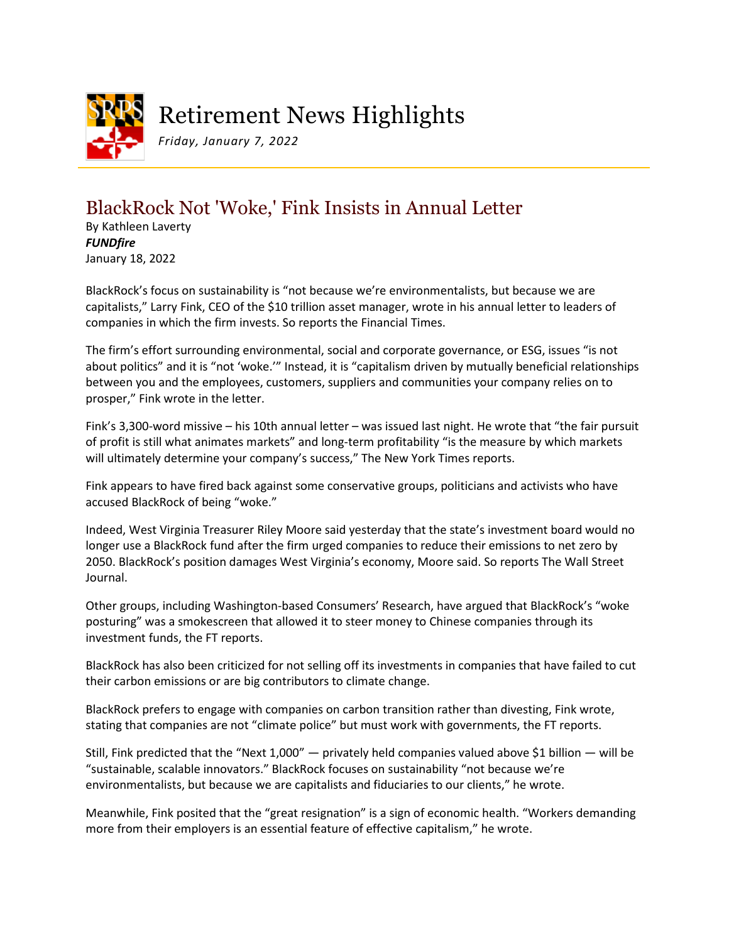

## Retirement News Highlights

*Friday, January 7, 2022*

## BlackRock Not 'Woke,' Fink Insists in Annual Letter

By Kathleen Laverty *FUNDfire* January 18, 2022

BlackRock's focus on sustainability is "not because we're environmentalists, but because we are capitalists," Larry Fink, CEO of the \$10 trillion asset manager, wrote in his annual letter to leaders of companies in which the firm invests. So reports the Financial Times.

The firm's effort surrounding environmental, social and corporate governance, or ESG, issues "is not about politics" and it is "not 'woke.'" Instead, it is "capitalism driven by mutually beneficial relationships between you and the employees, customers, suppliers and communities your company relies on to prosper," Fink wrote in the letter.

Fink's 3,300-word missive – his 10th annual letter – was issued last night. He wrote that "the fair pursuit of profit is still what animates markets" and long-term profitability "is the measure by which markets will ultimately determine your company's success," The New York Times reports.

Fink appears to have fired back against some conservative groups, politicians and activists who have accused BlackRock of being "woke."

Indeed, West Virginia Treasurer Riley Moore said yesterday that the state's investment board would no longer use a BlackRock fund after the firm urged companies to reduce their emissions to net zero by 2050. BlackRock's position damages West Virginia's economy, Moore said. So reports The Wall Street Journal.

Other groups, including Washington-based Consumers' Research, have argued that BlackRock's "woke posturing" was a smokescreen that allowed it to steer money to Chinese companies through its investment funds, the FT reports.

BlackRock has also been criticized for not selling off its investments in companies that have failed to cut their carbon emissions or are big contributors to climate change.

BlackRock prefers to engage with companies on carbon transition rather than divesting, Fink wrote, stating that companies are not "climate police" but must work with governments, the FT reports.

Still, Fink predicted that the "Next 1,000" — privately held companies valued above \$1 billion — will be "sustainable, scalable innovators." BlackRock focuses on sustainability "not because we're environmentalists, but because we are capitalists and fiduciaries to our clients," he wrote.

Meanwhile, Fink posited that the "great resignation" is a sign of economic health. "Workers demanding more from their employers is an essential feature of effective capitalism," he wrote.